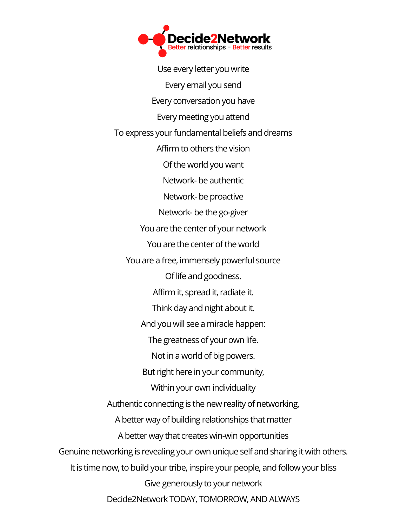Use every letter you write Every email you send Every conversation you have Every meeting you attend To express your fundamental beliefs and dreams Affirm to others the vision Ofthe world you want Network- be authentic Network- be proactive Network- be the go-giver You are the center of your network You are the center of the world You are a free, immensely powerful source Of life and goodness. Affirm it, spread it, radiate it. Think day and night about it. And you will see a miracle happen: The greatness of your own life. Not in a world of big powers. But right here in your community, Within your own individuality Authentic connecting is the new reality of networking, A better way of building relationships that matter A better way that creates win-win opportunities Genuine networking is revealing your own unique self and sharing it with others. It is time now, to build your tribe, inspire your people, and follow your bliss Give generously to your network Decide2Network TODAY, TOMORROW, AND ALWAYS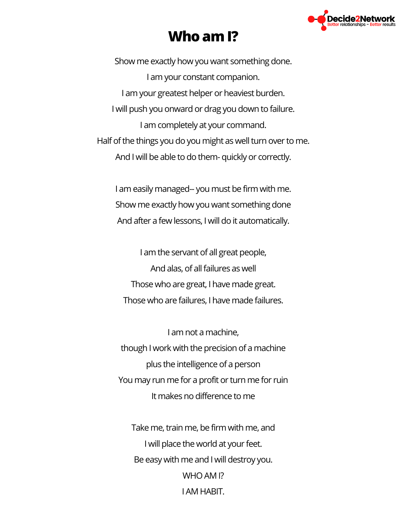

## **Who amI?**

Show me exactly how you want something done. I am your constant companion. I am your greatest helper or heaviest burden. I will push you onward or drag you down to failure. I am completely at your command. Half of the things you do you might as well turn over to me. And I will be able to do them- quickly or correctly.

I am easily managed-- you must be firm with me. Show me exactly how you want something done And after a few lessons, I will do it automatically.

I am the servant of all great people, And alas, of all failures as well Those who are great, I have made great. Those who are failures, I have made failures.

I am not a machine, though I work with the precision of a machine plus the intelligence of a person You may run me for a profit or turn me for ruin It makes no difference to me

Take me, train me, be firm with me, and I will place the world at your feet. Be easy with me and I will destroy you. WHO AM I? I AM HABIT.